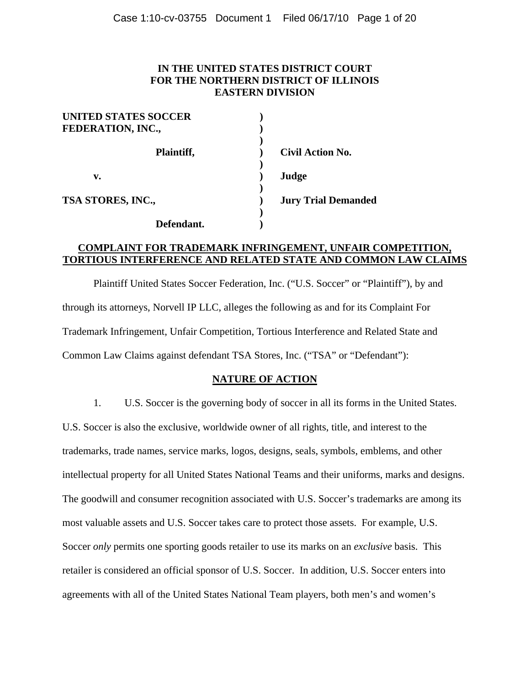# **IN THE UNITED STATES DISTRICT COURT FOR THE NORTHERN DISTRICT OF ILLINOIS EASTERN DIVISION**

| <b>UNITED STATES SOCCER</b><br><b>FEDERATION, INC.,</b> |                            |
|---------------------------------------------------------|----------------------------|
| Plaintiff,                                              | <b>Civil Action No.</b>    |
| v.                                                      | Judge                      |
| TSA STORES, INC.,                                       | <b>Jury Trial Demanded</b> |
| Defendant.                                              |                            |

# **COMPLAINT FOR TRADEMARK INFRINGEMENT, UNFAIR COMPETITION, TORTIOUS INTERFERENCE AND RELATED STATE AND COMMON LAW CLAIMS**

 Plaintiff United States Soccer Federation, Inc. ("U.S. Soccer" or "Plaintiff"), by and through its attorneys, Norvell IP LLC, alleges the following as and for its Complaint For Trademark Infringement, Unfair Competition, Tortious Interference and Related State and Common Law Claims against defendant TSA Stores, Inc. ("TSA" or "Defendant"):

# **NATURE OF ACTION**

1. U.S. Soccer is the governing body of soccer in all its forms in the United States. U.S. Soccer is also the exclusive, worldwide owner of all rights, title, and interest to the trademarks, trade names, service marks, logos, designs, seals, symbols, emblems, and other intellectual property for all United States National Teams and their uniforms, marks and designs. The goodwill and consumer recognition associated with U.S. Soccer's trademarks are among its most valuable assets and U.S. Soccer takes care to protect those assets. For example, U.S. Soccer *only* permits one sporting goods retailer to use its marks on an *exclusive* basis. This retailer is considered an official sponsor of U.S. Soccer. In addition, U.S. Soccer enters into agreements with all of the United States National Team players, both men's and women's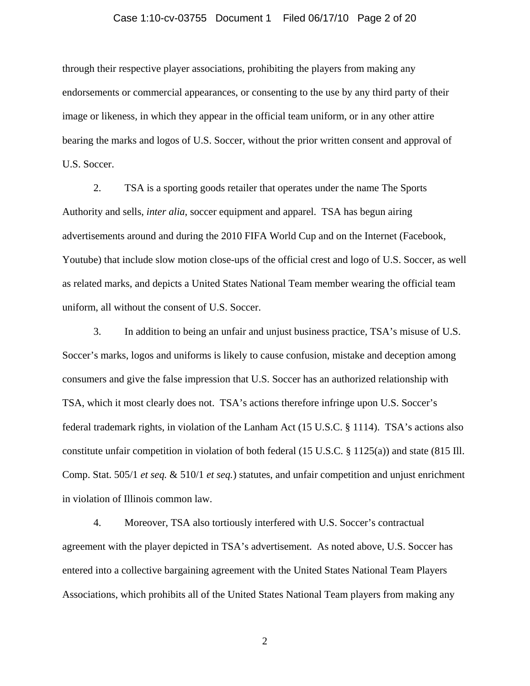### Case 1:10-cv-03755 Document 1 Filed 06/17/10 Page 2 of 20

through their respective player associations, prohibiting the players from making any endorsements or commercial appearances, or consenting to the use by any third party of their image or likeness, in which they appear in the official team uniform, or in any other attire bearing the marks and logos of U.S. Soccer, without the prior written consent and approval of U.S. Soccer.

2. TSA is a sporting goods retailer that operates under the name The Sports Authority and sells, *inter alia*, soccer equipment and apparel. TSA has begun airing advertisements around and during the 2010 FIFA World Cup and on the Internet (Facebook, Youtube) that include slow motion close-ups of the official crest and logo of U.S. Soccer, as well as related marks, and depicts a United States National Team member wearing the official team uniform, all without the consent of U.S. Soccer.

3. In addition to being an unfair and unjust business practice, TSA's misuse of U.S. Soccer's marks, logos and uniforms is likely to cause confusion, mistake and deception among consumers and give the false impression that U.S. Soccer has an authorized relationship with TSA, which it most clearly does not. TSA's actions therefore infringe upon U.S. Soccer's federal trademark rights, in violation of the Lanham Act (15 U.S.C. § 1114). TSA's actions also constitute unfair competition in violation of both federal (15 U.S.C. § 1125(a)) and state (815 Ill. Comp. Stat. 505/1 *et seq.* & 510/1 *et seq.*) statutes, and unfair competition and unjust enrichment in violation of Illinois common law.

4. Moreover, TSA also tortiously interfered with U.S. Soccer's contractual agreement with the player depicted in TSA's advertisement. As noted above, U.S. Soccer has entered into a collective bargaining agreement with the United States National Team Players Associations, which prohibits all of the United States National Team players from making any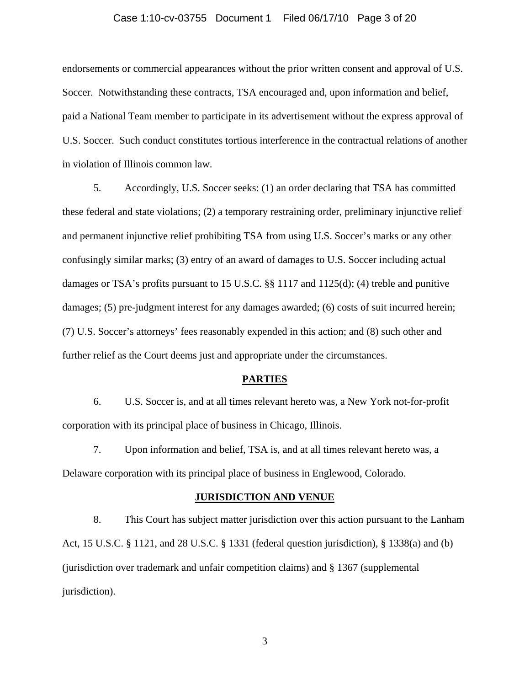### Case 1:10-cv-03755 Document 1 Filed 06/17/10 Page 3 of 20

endorsements or commercial appearances without the prior written consent and approval of U.S. Soccer. Notwithstanding these contracts, TSA encouraged and, upon information and belief, paid a National Team member to participate in its advertisement without the express approval of U.S. Soccer. Such conduct constitutes tortious interference in the contractual relations of another in violation of Illinois common law.

5. Accordingly, U.S. Soccer seeks: (1) an order declaring that TSA has committed these federal and state violations; (2) a temporary restraining order, preliminary injunctive relief and permanent injunctive relief prohibiting TSA from using U.S. Soccer's marks or any other confusingly similar marks; (3) entry of an award of damages to U.S. Soccer including actual damages or TSA's profits pursuant to 15 U.S.C. §§ 1117 and 1125(d); (4) treble and punitive damages; (5) pre-judgment interest for any damages awarded; (6) costs of suit incurred herein; (7) U.S. Soccer's attorneys' fees reasonably expended in this action; and (8) such other and further relief as the Court deems just and appropriate under the circumstances.

#### **PARTIES**

6. U.S. Soccer is, and at all times relevant hereto was, a New York not-for-profit corporation with its principal place of business in Chicago, Illinois.

7. Upon information and belief, TSA is, and at all times relevant hereto was, a Delaware corporation with its principal place of business in Englewood, Colorado.

### **JURISDICTION AND VENUE**

8. This Court has subject matter jurisdiction over this action pursuant to the Lanham Act, 15 U.S.C. § 1121, and 28 U.S.C. § 1331 (federal question jurisdiction), § 1338(a) and (b) (jurisdiction over trademark and unfair competition claims) and § 1367 (supplemental jurisdiction).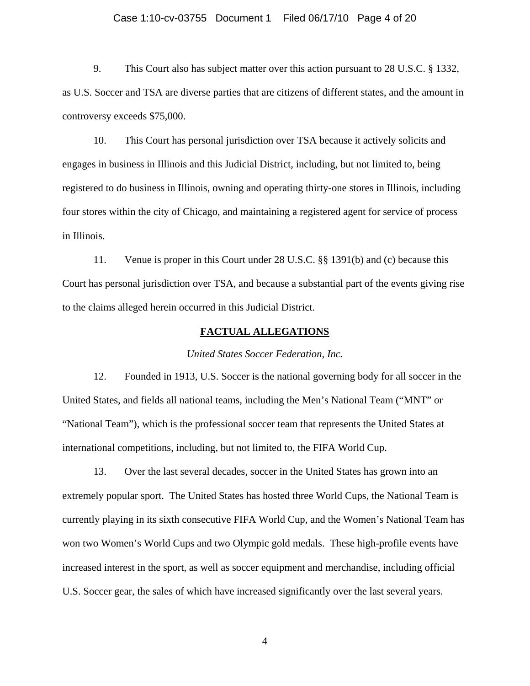### Case 1:10-cv-03755 Document 1 Filed 06/17/10 Page 4 of 20

9. This Court also has subject matter over this action pursuant to 28 U.S.C. § 1332, as U.S. Soccer and TSA are diverse parties that are citizens of different states, and the amount in controversy exceeds \$75,000.

10. This Court has personal jurisdiction over TSA because it actively solicits and engages in business in Illinois and this Judicial District, including, but not limited to, being registered to do business in Illinois, owning and operating thirty-one stores in Illinois, including four stores within the city of Chicago, and maintaining a registered agent for service of process in Illinois.

11. Venue is proper in this Court under 28 U.S.C. §§ 1391(b) and (c) because this Court has personal jurisdiction over TSA, and because a substantial part of the events giving rise to the claims alleged herein occurred in this Judicial District.

# **FACTUAL ALLEGATIONS**

# *United States Soccer Federation, Inc.*

12. Founded in 1913, U.S. Soccer is the national governing body for all soccer in the United States, and fields all national teams, including the Men's National Team ("MNT" or "National Team"), which is the professional soccer team that represents the United States at international competitions, including, but not limited to, the FIFA World Cup.

13. Over the last several decades, soccer in the United States has grown into an extremely popular sport. The United States has hosted three World Cups, the National Team is currently playing in its sixth consecutive FIFA World Cup, and the Women's National Team has won two Women's World Cups and two Olympic gold medals. These high-profile events have increased interest in the sport, as well as soccer equipment and merchandise, including official U.S. Soccer gear, the sales of which have increased significantly over the last several years.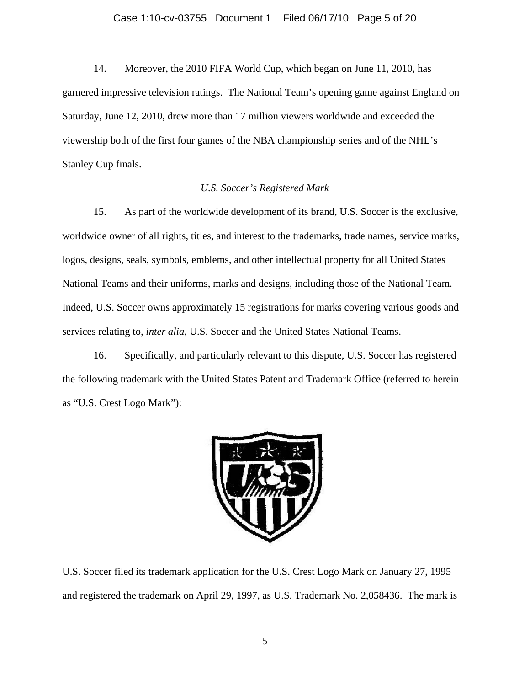# Case 1:10-cv-03755 Document 1 Filed 06/17/10 Page 5 of 20

14. Moreover, the 2010 FIFA World Cup, which began on June 11, 2010, has garnered impressive television ratings. The National Team's opening game against England on Saturday, June 12, 2010, drew more than 17 million viewers worldwide and exceeded the viewership both of the first four games of the NBA championship series and of the NHL's Stanley Cup finals.

### *U.S. Soccer's Registered Mark*

15. As part of the worldwide development of its brand, U.S. Soccer is the exclusive, worldwide owner of all rights, titles, and interest to the trademarks, trade names, service marks, logos, designs, seals, symbols, emblems, and other intellectual property for all United States National Teams and their uniforms, marks and designs, including those of the National Team. Indeed, U.S. Soccer owns approximately 15 registrations for marks covering various goods and services relating to, *inter alia*, U.S. Soccer and the United States National Teams.

16. Specifically, and particularly relevant to this dispute, U.S. Soccer has registered the following trademark with the United States Patent and Trademark Office (referred to herein as "U.S. Crest Logo Mark"):



U.S. Soccer filed its trademark application for the U.S. Crest Logo Mark on January 27, 1995 and registered the trademark on April 29, 1997, as U.S. Trademark No. 2,058436. The mark is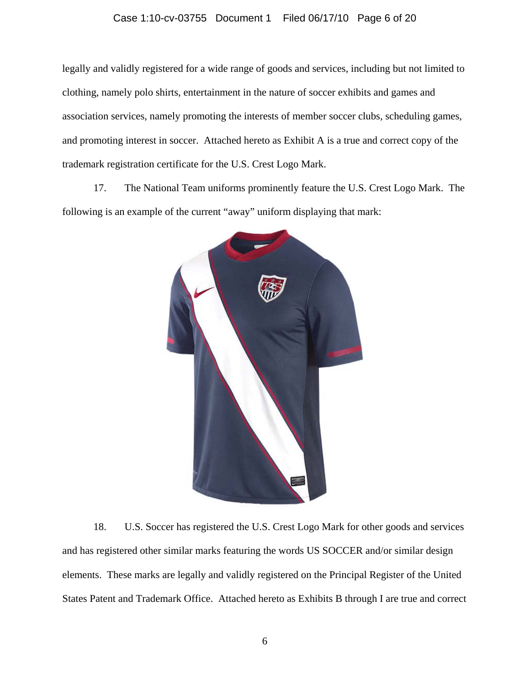### Case 1:10-cv-03755 Document 1 Filed 06/17/10 Page 6 of 20

legally and validly registered for a wide range of goods and services, including but not limited to clothing, namely polo shirts, entertainment in the nature of soccer exhibits and games and association services, namely promoting the interests of member soccer clubs, scheduling games, and promoting interest in soccer. Attached hereto as Exhibit A is a true and correct copy of the trademark registration certificate for the U.S. Crest Logo Mark.

17. The National Team uniforms prominently feature the U.S. Crest Logo Mark. The following is an example of the current "away" uniform displaying that mark:



18. U.S. Soccer has registered the U.S. Crest Logo Mark for other goods and services and has registered other similar marks featuring the words US SOCCER and/or similar design elements. These marks are legally and validly registered on the Principal Register of the United States Patent and Trademark Office. Attached hereto as Exhibits B through I are true and correct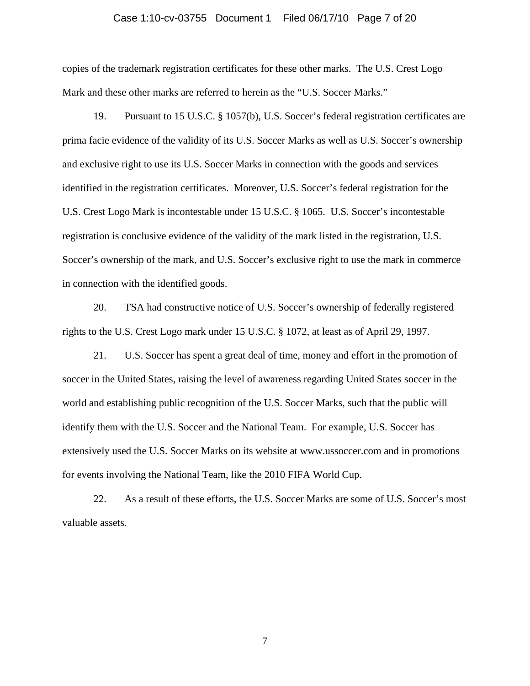### Case 1:10-cv-03755 Document 1 Filed 06/17/10 Page 7 of 20

copies of the trademark registration certificates for these other marks. The U.S. Crest Logo Mark and these other marks are referred to herein as the "U.S. Soccer Marks."

19. Pursuant to 15 U.S.C. § 1057(b), U.S. Soccer's federal registration certificates are prima facie evidence of the validity of its U.S. Soccer Marks as well as U.S. Soccer's ownership and exclusive right to use its U.S. Soccer Marks in connection with the goods and services identified in the registration certificates. Moreover, U.S. Soccer's federal registration for the U.S. Crest Logo Mark is incontestable under 15 U.S.C. § 1065. U.S. Soccer's incontestable registration is conclusive evidence of the validity of the mark listed in the registration, U.S. Soccer's ownership of the mark, and U.S. Soccer's exclusive right to use the mark in commerce in connection with the identified goods.

20. TSA had constructive notice of U.S. Soccer's ownership of federally registered rights to the U.S. Crest Logo mark under 15 U.S.C. § 1072, at least as of April 29, 1997.

21. U.S. Soccer has spent a great deal of time, money and effort in the promotion of soccer in the United States, raising the level of awareness regarding United States soccer in the world and establishing public recognition of the U.S. Soccer Marks, such that the public will identify them with the U.S. Soccer and the National Team. For example, U.S. Soccer has extensively used the U.S. Soccer Marks on its website at www.ussoccer.com and in promotions for events involving the National Team, like the 2010 FIFA World Cup.

22. As a result of these efforts, the U.S. Soccer Marks are some of U.S. Soccer's most valuable assets.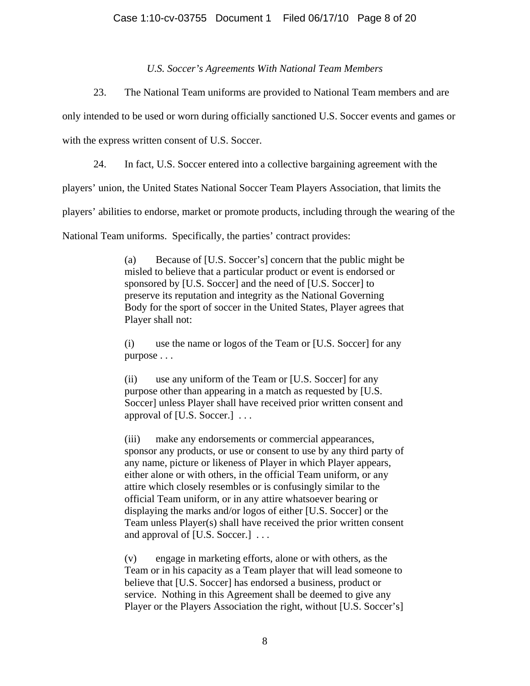# *U.S. Soccer's Agreements With National Team Members*

23. The National Team uniforms are provided to National Team members and are

only intended to be used or worn during officially sanctioned U.S. Soccer events and games or

with the express written consent of U.S. Soccer.

24. In fact, U.S. Soccer entered into a collective bargaining agreement with the

players' union, the United States National Soccer Team Players Association, that limits the

players' abilities to endorse, market or promote products, including through the wearing of the

National Team uniforms. Specifically, the parties' contract provides:

(a) Because of [U.S. Soccer's] concern that the public might be misled to believe that a particular product or event is endorsed or sponsored by [U.S. Soccer] and the need of [U.S. Soccer] to preserve its reputation and integrity as the National Governing Body for the sport of soccer in the United States, Player agrees that Player shall not:

(i) use the name or logos of the Team or [U.S. Soccer] for any purpose . . .

(ii) use any uniform of the Team or [U.S. Soccer] for any purpose other than appearing in a match as requested by [U.S. Soccer] unless Player shall have received prior written consent and approval of [U.S. Soccer.] . . .

(iii) make any endorsements or commercial appearances, sponsor any products, or use or consent to use by any third party of any name, picture or likeness of Player in which Player appears, either alone or with others, in the official Team uniform, or any attire which closely resembles or is confusingly similar to the official Team uniform, or in any attire whatsoever bearing or displaying the marks and/or logos of either [U.S. Soccer] or the Team unless Player(s) shall have received the prior written consent and approval of [U.S. Soccer.] ...

(v) engage in marketing efforts, alone or with others, as the Team or in his capacity as a Team player that will lead someone to believe that [U.S. Soccer] has endorsed a business, product or service. Nothing in this Agreement shall be deemed to give any Player or the Players Association the right, without [U.S. Soccer's]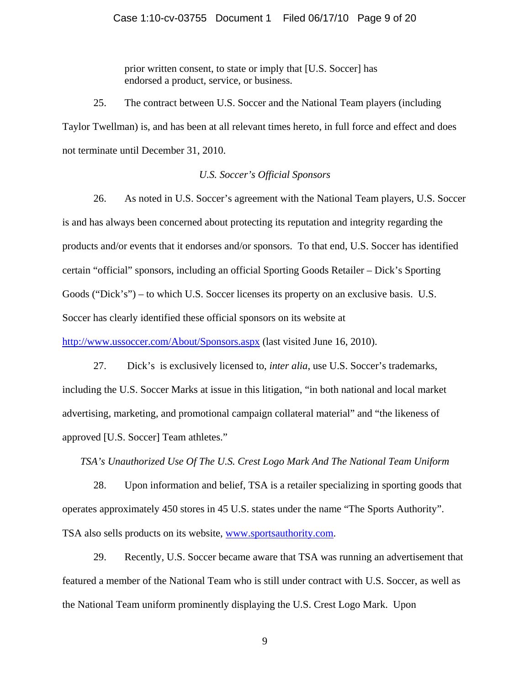prior written consent, to state or imply that [U.S. Soccer] has endorsed a product, service, or business.

25. The contract between U.S. Soccer and the National Team players (including Taylor Twellman) is, and has been at all relevant times hereto, in full force and effect and does not terminate until December 31, 2010.

# *U.S. Soccer's Official Sponsors*

26. As noted in U.S. Soccer's agreement with the National Team players, U.S. Soccer is and has always been concerned about protecting its reputation and integrity regarding the products and/or events that it endorses and/or sponsors. To that end, U.S. Soccer has identified certain "official" sponsors, including an official Sporting Goods Retailer – Dick's Sporting Goods ("Dick's") – to which U.S. Soccer licenses its property on an exclusive basis. U.S. Soccer has clearly identified these official sponsors on its website at

http://www.ussoccer.com/About/Sponsors.aspx (last visited June 16, 2010).

27. Dick's is exclusively licensed to, *inter alia*, use U.S. Soccer's trademarks, including the U.S. Soccer Marks at issue in this litigation, "in both national and local market advertising, marketing, and promotional campaign collateral material" and "the likeness of approved [U.S. Soccer] Team athletes."

*TSA's Unauthorized Use Of The U.S. Crest Logo Mark And The National Team Uniform* 

28. Upon information and belief, TSA is a retailer specializing in sporting goods that operates approximately 450 stores in 45 U.S. states under the name "The Sports Authority". TSA also sells products on its website, www.sportsauthority.com.

29. Recently, U.S. Soccer became aware that TSA was running an advertisement that featured a member of the National Team who is still under contract with U.S. Soccer, as well as the National Team uniform prominently displaying the U.S. Crest Logo Mark. Upon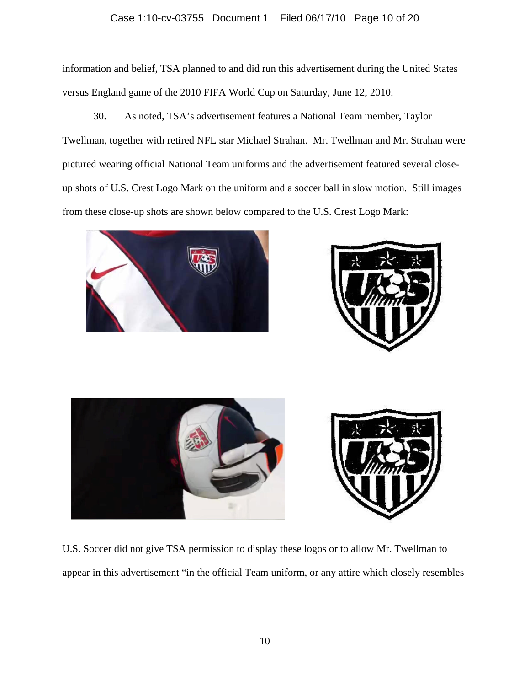# Case 1:10-cv-03755 Document 1 Filed 06/17/10 Page 10 of 20

information and belief, TSA planned to and did run this advertisement during the United States versus England game of the 2010 FIFA World Cup on Saturday, June 12, 2010.

30. As noted, TSA's advertisement features a National Team member, Taylor Twellman, together with retired NFL star Michael Strahan. Mr. Twellman and Mr. Strahan were pictured wearing official National Team uniforms and the advertisement featured several closeup shots of U.S. Crest Logo Mark on the uniform and a soccer ball in slow motion. Still images from these close-up shots are shown below compared to the U.S. Crest Logo Mark:







U.S. Soccer did not give TSA permission to display these logos or to allow Mr. Twellman to appear in this advertisement "in the official Team uniform, or any attire which closely resembles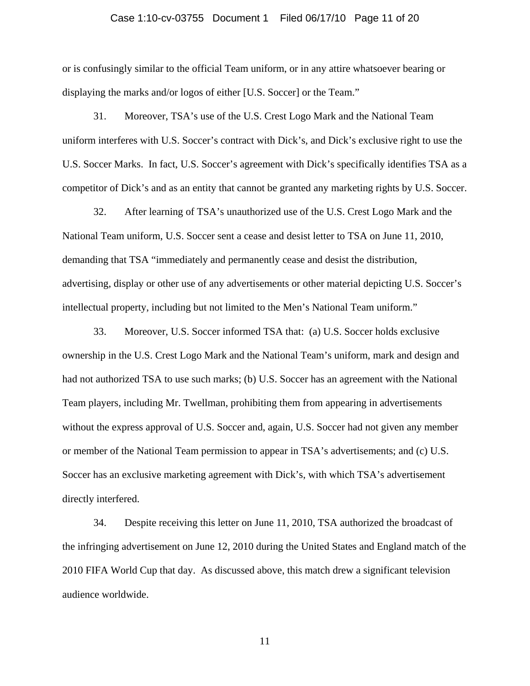#### Case 1:10-cv-03755 Document 1 Filed 06/17/10 Page 11 of 20

or is confusingly similar to the official Team uniform, or in any attire whatsoever bearing or displaying the marks and/or logos of either [U.S. Soccer] or the Team."

31. Moreover, TSA's use of the U.S. Crest Logo Mark and the National Team uniform interferes with U.S. Soccer's contract with Dick's, and Dick's exclusive right to use the U.S. Soccer Marks. In fact, U.S. Soccer's agreement with Dick's specifically identifies TSA as a competitor of Dick's and as an entity that cannot be granted any marketing rights by U.S. Soccer.

32. After learning of TSA's unauthorized use of the U.S. Crest Logo Mark and the National Team uniform, U.S. Soccer sent a cease and desist letter to TSA on June 11, 2010, demanding that TSA "immediately and permanently cease and desist the distribution, advertising, display or other use of any advertisements or other material depicting U.S. Soccer's intellectual property, including but not limited to the Men's National Team uniform."

33. Moreover, U.S. Soccer informed TSA that: (a) U.S. Soccer holds exclusive ownership in the U.S. Crest Logo Mark and the National Team's uniform, mark and design and had not authorized TSA to use such marks; (b) U.S. Soccer has an agreement with the National Team players, including Mr. Twellman, prohibiting them from appearing in advertisements without the express approval of U.S. Soccer and, again, U.S. Soccer had not given any member or member of the National Team permission to appear in TSA's advertisements; and (c) U.S. Soccer has an exclusive marketing agreement with Dick's, with which TSA's advertisement directly interfered.

34. Despite receiving this letter on June 11, 2010, TSA authorized the broadcast of the infringing advertisement on June 12, 2010 during the United States and England match of the 2010 FIFA World Cup that day. As discussed above, this match drew a significant television audience worldwide.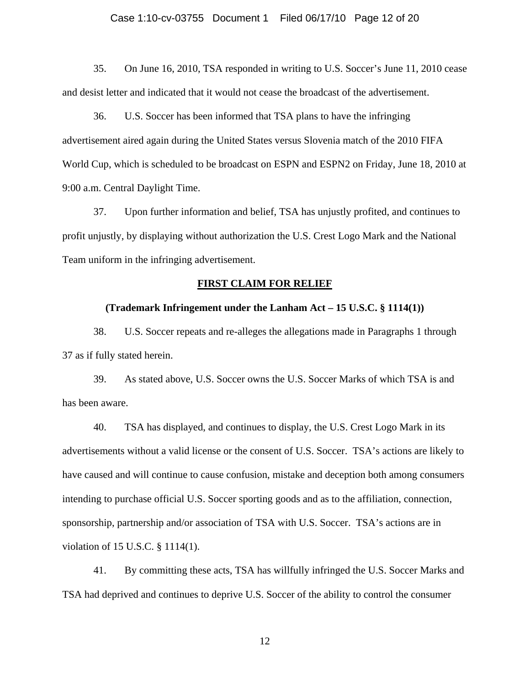#### Case 1:10-cv-03755 Document 1 Filed 06/17/10 Page 12 of 20

35. On June 16, 2010, TSA responded in writing to U.S. Soccer's June 11, 2010 cease and desist letter and indicated that it would not cease the broadcast of the advertisement.

36. U.S. Soccer has been informed that TSA plans to have the infringing advertisement aired again during the United States versus Slovenia match of the 2010 FIFA World Cup, which is scheduled to be broadcast on ESPN and ESPN2 on Friday, June 18, 2010 at 9:00 a.m. Central Daylight Time.

37. Upon further information and belief, TSA has unjustly profited, and continues to profit unjustly, by displaying without authorization the U.S. Crest Logo Mark and the National Team uniform in the infringing advertisement.

#### **FIRST CLAIM FOR RELIEF**

#### **(Trademark Infringement under the Lanham Act – 15 U.S.C. § 1114(1))**

38. U.S. Soccer repeats and re-alleges the allegations made in Paragraphs 1 through 37 as if fully stated herein.

39. As stated above, U.S. Soccer owns the U.S. Soccer Marks of which TSA is and has been aware.

40. TSA has displayed, and continues to display, the U.S. Crest Logo Mark in its advertisements without a valid license or the consent of U.S. Soccer. TSA's actions are likely to have caused and will continue to cause confusion, mistake and deception both among consumers intending to purchase official U.S. Soccer sporting goods and as to the affiliation, connection, sponsorship, partnership and/or association of TSA with U.S. Soccer. TSA's actions are in violation of 15 U.S.C. § 1114(1).

41. By committing these acts, TSA has willfully infringed the U.S. Soccer Marks and TSA had deprived and continues to deprive U.S. Soccer of the ability to control the consumer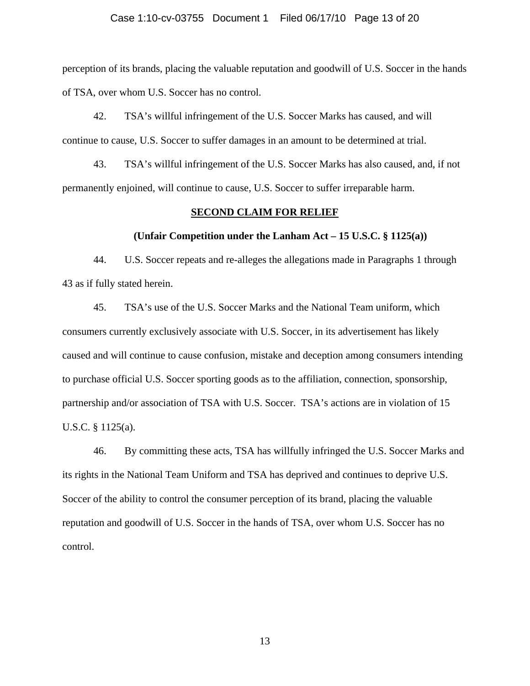perception of its brands, placing the valuable reputation and goodwill of U.S. Soccer in the hands of TSA, over whom U.S. Soccer has no control.

42. TSA's willful infringement of the U.S. Soccer Marks has caused, and will continue to cause, U.S. Soccer to suffer damages in an amount to be determined at trial.

43. TSA's willful infringement of the U.S. Soccer Marks has also caused, and, if not permanently enjoined, will continue to cause, U.S. Soccer to suffer irreparable harm.

### **SECOND CLAIM FOR RELIEF**

### **(Unfair Competition under the Lanham Act – 15 U.S.C. § 1125(a))**

44. U.S. Soccer repeats and re-alleges the allegations made in Paragraphs 1 through 43 as if fully stated herein.

45. TSA's use of the U.S. Soccer Marks and the National Team uniform, which consumers currently exclusively associate with U.S. Soccer, in its advertisement has likely caused and will continue to cause confusion, mistake and deception among consumers intending to purchase official U.S. Soccer sporting goods as to the affiliation, connection, sponsorship, partnership and/or association of TSA with U.S. Soccer. TSA's actions are in violation of 15 U.S.C. § 1125(a).

46. By committing these acts, TSA has willfully infringed the U.S. Soccer Marks and its rights in the National Team Uniform and TSA has deprived and continues to deprive U.S. Soccer of the ability to control the consumer perception of its brand, placing the valuable reputation and goodwill of U.S. Soccer in the hands of TSA, over whom U.S. Soccer has no control.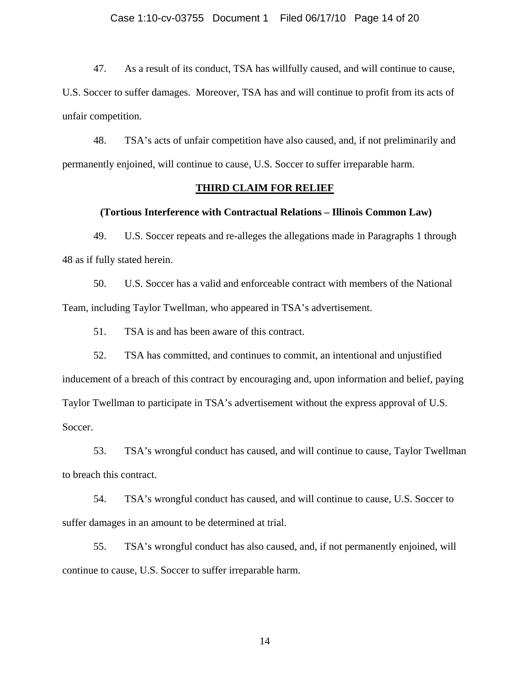47. As a result of its conduct, TSA has willfully caused, and will continue to cause, U.S. Soccer to suffer damages. Moreover, TSA has and will continue to profit from its acts of unfair competition.

48. TSA's acts of unfair competition have also caused, and, if not preliminarily and permanently enjoined, will continue to cause, U.S. Soccer to suffer irreparable harm.

# **THIRD CLAIM FOR RELIEF**

# **(Tortious Interference with Contractual Relations – Illinois Common Law)**

49. U.S. Soccer repeats and re-alleges the allegations made in Paragraphs 1 through 48 as if fully stated herein.

50. U.S. Soccer has a valid and enforceable contract with members of the National Team, including Taylor Twellman, who appeared in TSA's advertisement.

51. TSA is and has been aware of this contract.

52. TSA has committed, and continues to commit, an intentional and unjustified inducement of a breach of this contract by encouraging and, upon information and belief, paying Taylor Twellman to participate in TSA's advertisement without the express approval of U.S. Soccer.

53. TSA's wrongful conduct has caused, and will continue to cause, Taylor Twellman to breach this contract.

54. TSA's wrongful conduct has caused, and will continue to cause, U.S. Soccer to suffer damages in an amount to be determined at trial.

55. TSA's wrongful conduct has also caused, and, if not permanently enjoined, will continue to cause, U.S. Soccer to suffer irreparable harm.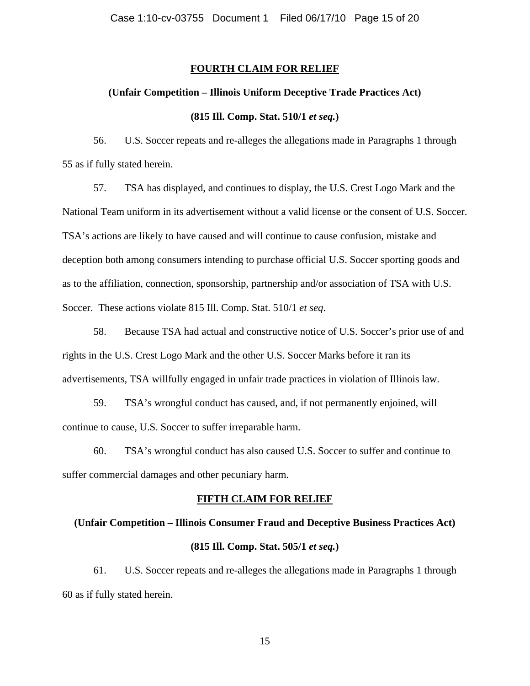# **FOURTH CLAIM FOR RELIEF**

# **(Unfair Competition – Illinois Uniform Deceptive Trade Practices Act) (815 Ill. Comp. Stat. 510/1** *et seq.***)**

56. U.S. Soccer repeats and re-alleges the allegations made in Paragraphs 1 through 55 as if fully stated herein.

57. TSA has displayed, and continues to display, the U.S. Crest Logo Mark and the National Team uniform in its advertisement without a valid license or the consent of U.S. Soccer. TSA's actions are likely to have caused and will continue to cause confusion, mistake and deception both among consumers intending to purchase official U.S. Soccer sporting goods and as to the affiliation, connection, sponsorship, partnership and/or association of TSA with U.S. Soccer. These actions violate 815 Ill. Comp. Stat. 510/1 *et seq*.

58. Because TSA had actual and constructive notice of U.S. Soccer's prior use of and rights in the U.S. Crest Logo Mark and the other U.S. Soccer Marks before it ran its advertisements, TSA willfully engaged in unfair trade practices in violation of Illinois law.

59. TSA's wrongful conduct has caused, and, if not permanently enjoined, will continue to cause, U.S. Soccer to suffer irreparable harm.

60. TSA's wrongful conduct has also caused U.S. Soccer to suffer and continue to suffer commercial damages and other pecuniary harm.

### **FIFTH CLAIM FOR RELIEF**

# **(Unfair Competition – Illinois Consumer Fraud and Deceptive Business Practices Act)**

# **(815 Ill. Comp. Stat. 505/1** *et seq.***)**

61. U.S. Soccer repeats and re-alleges the allegations made in Paragraphs 1 through 60 as if fully stated herein.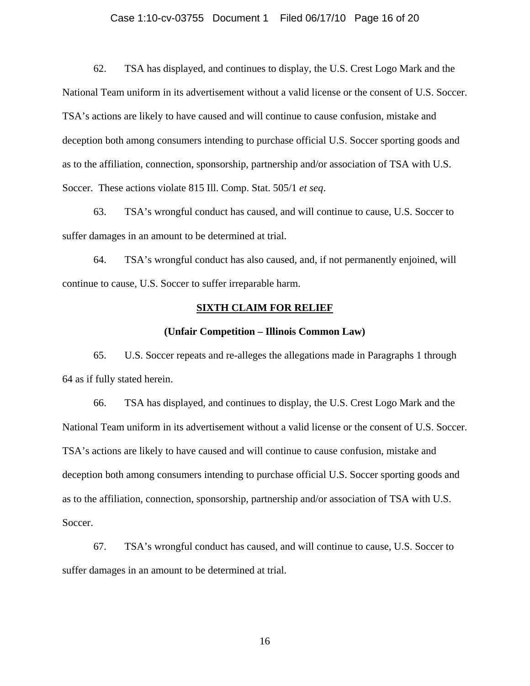#### Case 1:10-cv-03755 Document 1 Filed 06/17/10 Page 16 of 20

62. TSA has displayed, and continues to display, the U.S. Crest Logo Mark and the National Team uniform in its advertisement without a valid license or the consent of U.S. Soccer. TSA's actions are likely to have caused and will continue to cause confusion, mistake and deception both among consumers intending to purchase official U.S. Soccer sporting goods and as to the affiliation, connection, sponsorship, partnership and/or association of TSA with U.S. Soccer. These actions violate 815 Ill. Comp. Stat. 505/1 *et seq*.

63. TSA's wrongful conduct has caused, and will continue to cause, U.S. Soccer to suffer damages in an amount to be determined at trial.

64. TSA's wrongful conduct has also caused, and, if not permanently enjoined, will continue to cause, U.S. Soccer to suffer irreparable harm.

### **SIXTH CLAIM FOR RELIEF**

#### **(Unfair Competition – Illinois Common Law)**

65. U.S. Soccer repeats and re-alleges the allegations made in Paragraphs 1 through 64 as if fully stated herein.

66. TSA has displayed, and continues to display, the U.S. Crest Logo Mark and the National Team uniform in its advertisement without a valid license or the consent of U.S. Soccer. TSA's actions are likely to have caused and will continue to cause confusion, mistake and deception both among consumers intending to purchase official U.S. Soccer sporting goods and as to the affiliation, connection, sponsorship, partnership and/or association of TSA with U.S. Soccer.

67. TSA's wrongful conduct has caused, and will continue to cause, U.S. Soccer to suffer damages in an amount to be determined at trial.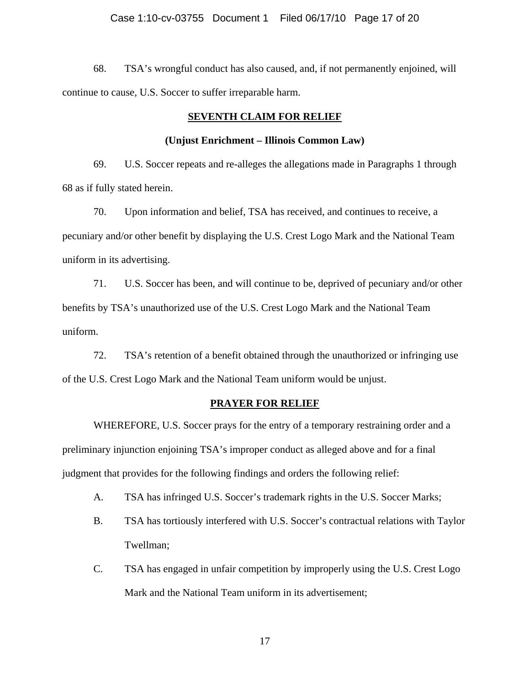### Case 1:10-cv-03755 Document 1 Filed 06/17/10 Page 17 of 20

68. TSA's wrongful conduct has also caused, and, if not permanently enjoined, will continue to cause, U.S. Soccer to suffer irreparable harm.

### **SEVENTH CLAIM FOR RELIEF**

#### **(Unjust Enrichment – Illinois Common Law)**

69. U.S. Soccer repeats and re-alleges the allegations made in Paragraphs 1 through 68 as if fully stated herein.

70. Upon information and belief, TSA has received, and continues to receive, a pecuniary and/or other benefit by displaying the U.S. Crest Logo Mark and the National Team uniform in its advertising.

71. U.S. Soccer has been, and will continue to be, deprived of pecuniary and/or other benefits by TSA's unauthorized use of the U.S. Crest Logo Mark and the National Team uniform.

72. TSA's retention of a benefit obtained through the unauthorized or infringing use of the U.S. Crest Logo Mark and the National Team uniform would be unjust.

# **PRAYER FOR RELIEF**

 WHEREFORE, U.S. Soccer prays for the entry of a temporary restraining order and a preliminary injunction enjoining TSA's improper conduct as alleged above and for a final judgment that provides for the following findings and orders the following relief:

- A. TSA has infringed U.S. Soccer's trademark rights in the U.S. Soccer Marks;
- B. TSA has tortiously interfered with U.S. Soccer's contractual relations with Taylor Twellman;
- C. TSA has engaged in unfair competition by improperly using the U.S. Crest Logo Mark and the National Team uniform in its advertisement;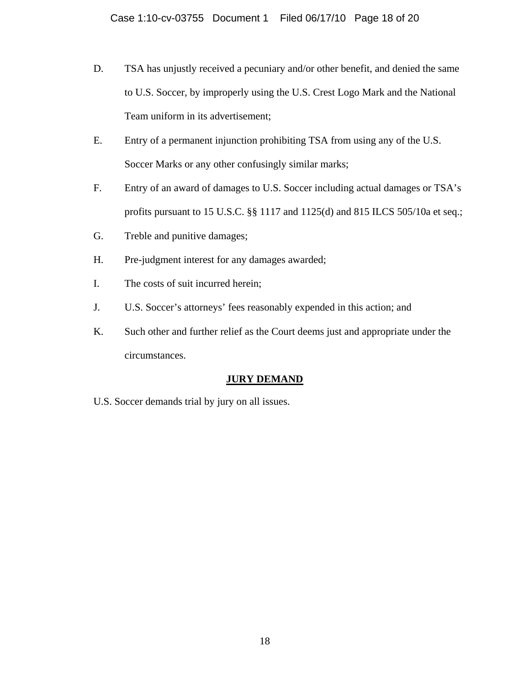- D. TSA has unjustly received a pecuniary and/or other benefit, and denied the same to U.S. Soccer, by improperly using the U.S. Crest Logo Mark and the National Team uniform in its advertisement;
- E. Entry of a permanent injunction prohibiting TSA from using any of the U.S. Soccer Marks or any other confusingly similar marks;
- F. Entry of an award of damages to U.S. Soccer including actual damages or TSA's profits pursuant to 15 U.S.C. §§ 1117 and 1125(d) and 815 ILCS 505/10a et seq.;
- G. Treble and punitive damages;
- H. Pre-judgment interest for any damages awarded;
- I. The costs of suit incurred herein;
- J. U.S. Soccer's attorneys' fees reasonably expended in this action; and
- K. Such other and further relief as the Court deems just and appropriate under the circumstances.

# **JURY DEMAND**

U.S. Soccer demands trial by jury on all issues.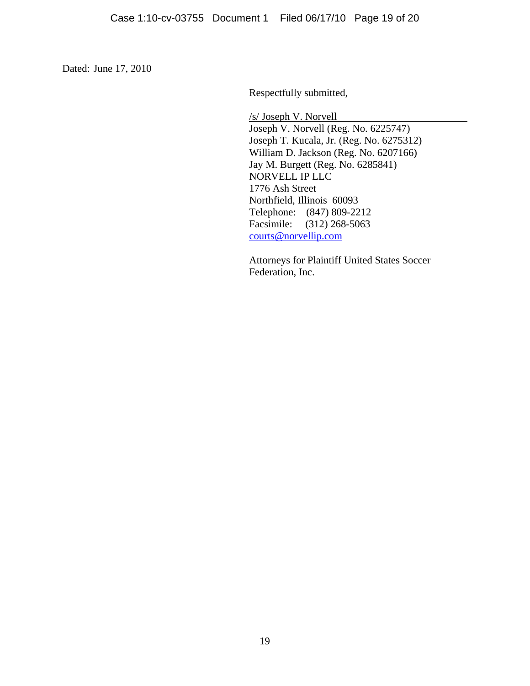Dated: June 17, 2010

Respectfully submitted,

 /s/ Joseph V. Norvell Joseph V. Norvell (Reg. No. 6225747) Joseph T. Kucala, Jr. (Reg. No. 6275312) William D. Jackson (Reg. No. 6207166) Jay M. Burgett (Reg. No. 6285841) NORVELL IP LLC 1776 Ash Street Northfield, Illinois 60093 Telephone: (847) 809-2212 Facsimile: (312) 268-5063 courts@norvellip.com

Attorneys for Plaintiff United States Soccer Federation, Inc.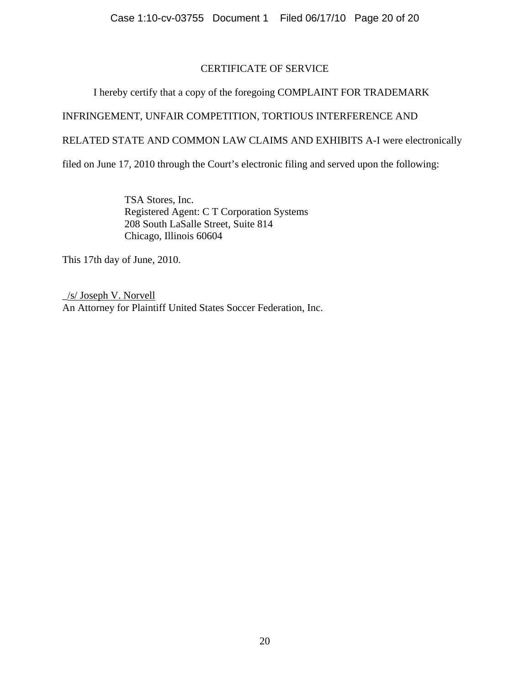# CERTIFICATE OF SERVICE

# I hereby certify that a copy of the foregoing COMPLAINT FOR TRADEMARK

# INFRINGEMENT, UNFAIR COMPETITION, TORTIOUS INTERFERENCE AND

# RELATED STATE AND COMMON LAW CLAIMS AND EXHIBITS A-I were electronically

filed on June 17, 2010 through the Court's electronic filing and served upon the following:

 TSA Stores, Inc. Registered Agent: C T Corporation Systems 208 South LaSalle Street, Suite 814 Chicago, Illinois 60604

This 17th day of June, 2010.

\_/s/ Joseph V. Norvell An Attorney for Plaintiff United States Soccer Federation, Inc.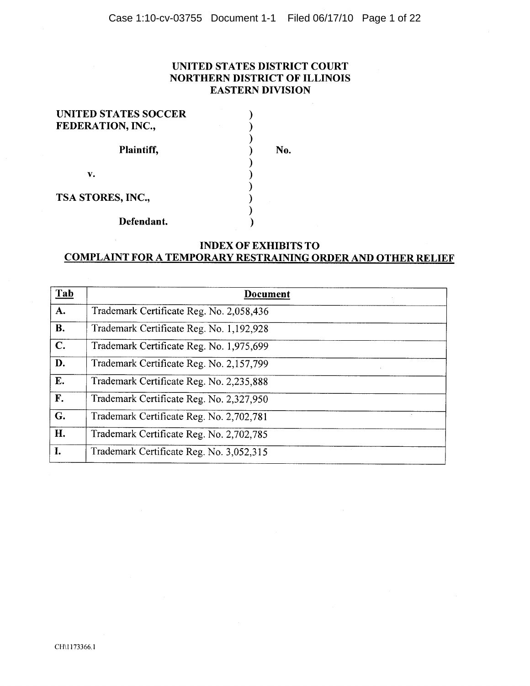# UNITED STATES DISTRICT COURT NORTHERN DISTRICT OF ILLINOIS **EASTERN DIVISION**

| <b>UNITED STATES SOCCER</b> |     |
|-----------------------------|-----|
| FEDERATION, INC.,           |     |
| Plaintiff,                  | No. |
| v.                          |     |
| TSA STORES, INC.,           |     |
| Defendant.                  |     |

# **INDEX OF EXHIBITS TO COMPLAINT FOR A TEMPORARY RESTRAINING ORDER AND OTHER RELIEF**

| Tab            | Document                                 |
|----------------|------------------------------------------|
| A.             | Trademark Certificate Reg. No. 2,058,436 |
| <b>B.</b>      | Trademark Certificate Reg. No. 1,192,928 |
| $\mathbf{C}$ . | Trademark Certificate Reg. No. 1,975,699 |
| D.             | Trademark Certificate Reg. No. 2,157,799 |
| E.             | Trademark Certificate Reg. No. 2,235,888 |
| F.             | Trademark Certificate Reg. No. 2,327,950 |
| G.             | Trademark Certificate Reg. No. 2,702,781 |
| H.             | Trademark Certificate Reg. No. 2,702,785 |
| I.             | Trademark Certificate Reg. No. 3,052,315 |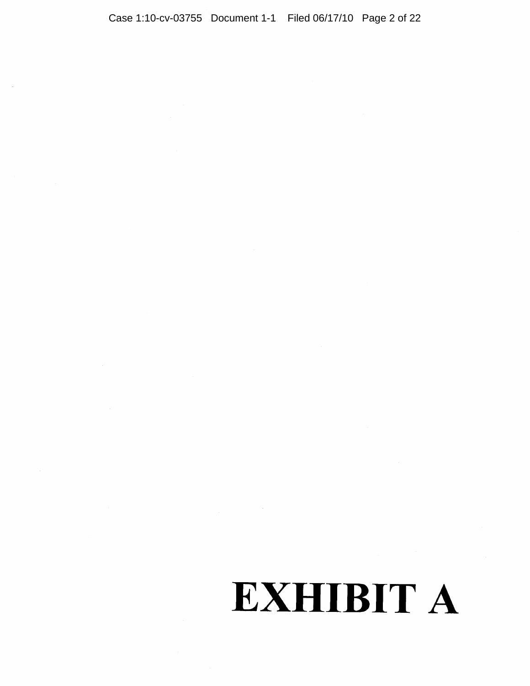# **EXHIBIT A**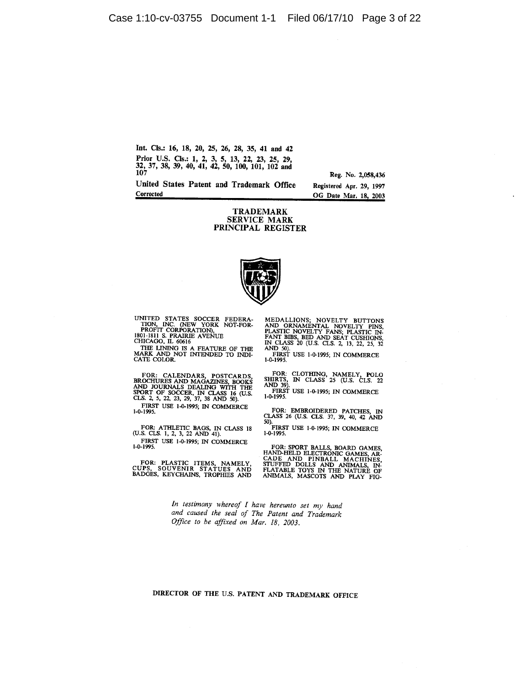Int. Cls.: 16, 18, 20, 25, 26, 28, 35, 41 and 42 Prior U.S. Cls.: 1, 2, 3, 5, 13, 22, 23, 25, 29, 32, 37, 38, 39, 40, 41, 42, 50, 100, 101, 102 and 107

United States Patent and Trademark Office Corrected

Reg. No. 2,058,436 Registered Apr. 29, 1997 OG Date Mar. 18, 2003

**TRADEMARK SERVICE MARK** PRINCIPAL REGISTER



 $\begin{tabular}{ll} \textbf{UNITED STATES SOCCR FEDERA-} & \textbf{TON, INC. (NEW YORK NOT-FOR-} \\ \textbf{PROPTT CORATION}, & \textbf{ORARIRE AVENUE} \\ \textbf{1801-1811 S. PRAIRE AVENUE} & \textbf{CHLOGO, IL 60616} \\ \end{tabular}$ 

THE LINING IS A FEATURE OF THE MARK AND NOT INTENDED TO INDICATE COLOR.

FOR: CALENDARS, POSTCARDS,<br>BROCHURES AND MAGAZINES, BOOKS<br>AND JOURNALS DEALING WITH THE SPORT OF SOCCER, IN CLASS 16 (U.S.<br>CLS. 2, 5, 22, 23, 29, 37, 38 AND 50). FIRST USE 1-0-1995; IN COMMERCE

 $1 - 0 - 1995.$ 

FOR: ATHLETIC BAGS, IN CLASS 18<br>(U.S. CLS. 1, 2, 3, 22 AND 41). FIRST USE 1-0-1995; IN COMMERCE

 $1 - 0 - 1995.$ 

FOR: PLASTIC ITEMS, NAMELY,<br>CUPS, SOUVENIR STATUES AND<br>BADGES, KEYCHAINS, TROPHIES AND

MEDALLIONS; NOVELTY BUTTONS<br>AND ORNAMENTAL NOVELTY PINS,<br>PLASTIC NOVELTY FANS; PLASTIC INFANT BIBS, BED AND SEAT CUSHIONS,<br>IN CLASS 20 (U.S. CLS. 2, 13, 22, 25, 32<br>FIRST USE 1-0-1995; IN COMMERCE<br>L-0.1995

 $1-0-1995.$ 

FOR: CLOTHING, NAMELY, POLO<br>SHIRTS, IN CLASS 25 (U.S. CLS. 22<br>AND 39).<br>FIRST USE 1-0-1995; IN COMMERCE  $1 - 0 - 1995.$ 

FOR: EMBROIDERED PATCHES, IN<br>CLASS 26 (U.S. CLS. 37, 39, 40, 42 AND 50).<br>FIRST USE 1-0-1995; IN COMMERCE<br>FIRST USE 1-0-1995; IN COMMERCE

FOR: SPORT BALLS, BOARD GAMES, HAND-HELD ELECTRONIC GAMES, ARCAINES, INSTELLENCE STUFFED DOLLS AND ANIMALS, IN ALCOUNT FLATABLE TOYS IN THE NATURE OF ANIMALS, MASCOTS AND PLAY FIG-

In testimony whereof I have hereunto set my hand and caused the seal of The Patent and Trademark Office to be affixed on Mar. 18, 2003.

#### DIRECTOR OF THE U.S. PATENT AND TRADEMARK OFFICE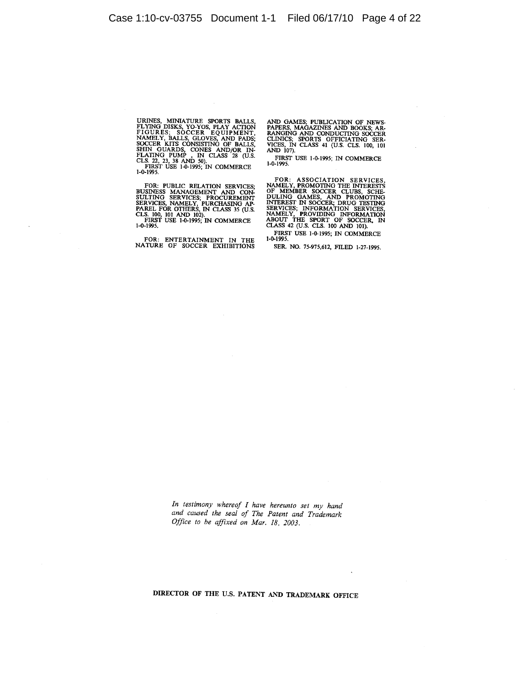URINES, MINIATURE SPORTS BALLS, FLYING DISKS, YO-YOS, PLAY ACTION FIGURES; SOCCER EQUIPMENT, NAMELY, BALLS, GLOVES, AND PADS; SHING UARDS, CONES AND/OR INFLATING PUMP , IN CLASS 28 (U.S. CLS. 22, 23, 38 AND 50). THOME PLAT

FOR: PUBLIC RELATION SERVICES;<br>BUSINESS MANAGEMENT AND CON-<br>SULTING SERVICES; PROCUREMENT<br>SERVICES, NAMELY, PURCHASING AP-<br>PAREL FOR OTHERS, IN CLASS 35 (U.S.<br>FIRST USE 1-0-1995; IN COMMERCE<br>L-0-1995.

 $1 - 0 - 1995.$ 

FOR: ENTERTAINMENT IN THE NATURE OF SOCCER EXHIBITIONS

AND GAMES; PUBLICATION OF NEWS-<br>PAPERS, MAGAZINES AND BOOKS; AR-<br>RANGING AND CONDUCTING SOCCER<br>CLINICS; SPORTS OFFICIATING SERVICES, IN CLASS 41 (U.S. CLS. 100, 101<br>AND 107).

 $\mathcal{L}$ 

FIRST USE 1-0-1995; IN COMMERCE  $1 - 0 - 1995$ .

FOR: ASSOCIATION SERVICES,<br>NAMELY, PROMOTING THE INTERESTS<br>OF MEMBER SOCCER CLUBS, SCHE-<br>DULING GAMES, AND PROMOTING<br>SERVICES; INFORMATION<br>NAMELY, PROVIDING INFORMATION<br>ABOUT THE SPORT OF SOCCER, IN<br>CLASS 42 (U.S. CLS. 100

FIRST USE 1-0-1995; IN COMMERCE  $1 - 0 - 1995$ 

SER. NO. 75-975,612, FILED 1-27-1995.

In testimony whereof I have hereunto set my hand and caused the seal of The Patent and Trademark Office to be affixed on Mar. 18, 2003.

### DIRECTOR OF THE U.S. PATENT AND TRADEMARK OFFICE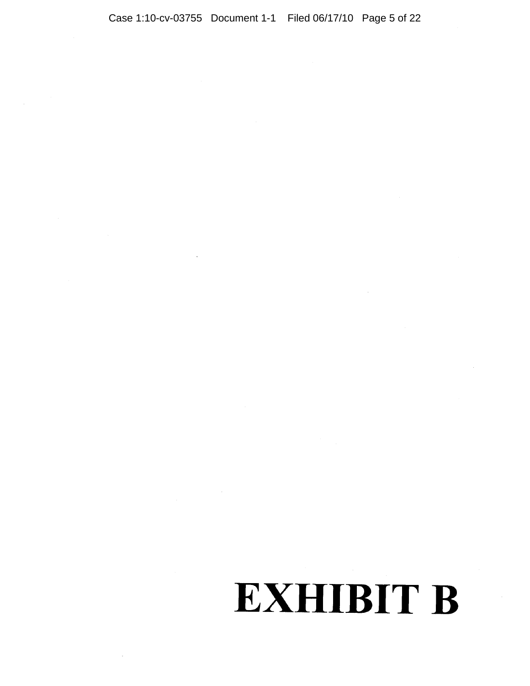# **EXHIBIT B**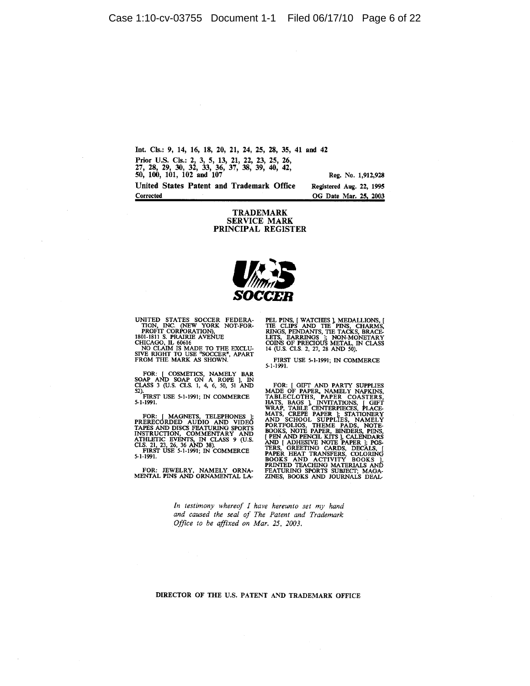Int. Cls.: 9, 14, 16, 18, 20, 21, 24, 25, 28, 35, 41 and 42 Prior U.S. Cls.: 2, 3, 5, 13, 21, 22, 23, 25, 26, 27, 28, 29, 30, 32, 33, 36, 37, 38, 39, 40, 42, 50, 100, 101, 102 and 107 Reg. No. 1,912,928 United States Patent and Trademark Office Registered Aug. 22, 1995 Corrected OG Date Mar. 25, 2003

> **TRADEMARK SERVICE MARK** PRINCIPAL REGISTER



UNITED STATES SOCCER FEDERATION, INC. (NEW YORK NOT-FORPROFIT CORPORATION), 1801-1811 S. PRAIRIE AVENUE CHICAGO, IL 60616 NO CLAIM IS MADE TO THE EXCLUSIVE RIGHT TO USE "SOCCER", APART FROM THE MARK AS SHOWN.

FOR: [ COSMETICS, NAMELY BAR<br>SOAP AND SOAP ON A ROPE ], IN<br>CLASS 3 (U.S. CLS. 1, 4, 6, 50, 51 AND

52).<br>FIRST USE 5-1-1991; IN COMMERCE

FOR: [ MAGNETS, TELEPHONES ]:<br>PRERECORDED AUDIO AND VIDEO<br>TAPES AND DISCS FEATURING SPORTS<br>INSTRUCTION, COMMENTARY AND<br>ATHLETIC EVENTS, IN CLASS 9 (U.S.<br>FIRST USE 5-1-1991; IN COMMERCE<br>5-1-1991

 $51.1991$ 

FOR: JEWELRY, NAMELY ORNA-<br>MENTAL PINS AND ORNAMENTAL LA-

PEL PINS, [ WATCHES ], MEDALLIONS, [<br>TIE CLIPS AND TIE PINS, CHARMS,<br>RINGS, PENDANTS, TIE TACKS, BRACE-<br>LETS, EARRINGS ]; NON-MONETARY<br>COINS OF PRECIOUS METAL, IN CLASS<br>14 (U.S. CLS. 2, 27, 28 AND 50).

FIRST USE 5-1-1991; IN COMMERCE  $5 - 1 - 1991.$ 

FOR: [ GIFT AND PARTY SUPPLIES MADE OF PAPER, NAMELY NAPKINS, TABLECLOTHS, PAPER COASTERS, HATS, BAGS ], INVITATIONS, [ GIFT WRAP, TABLE CENTERPIECES, PLACE-THATS, CREP PAPER ]; STATIONERY AND SCHOOL SUPPLIES, NAMELY PORTF

In testimony whereof I have hereunto set my hand and caused the seal of The Patent and Trademark Office to be affixed on Mar. 25, 2003.

DIRECTOR OF THE U.S. PATENT AND TRADEMARK OFFICE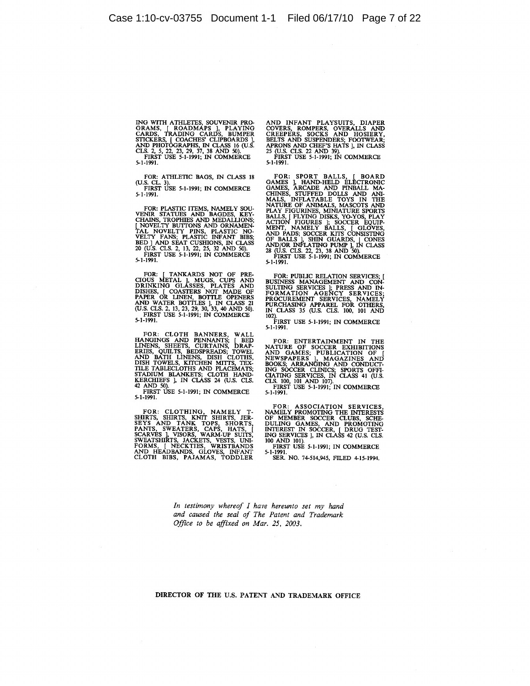ING WITH ATHLETES, SOUVENIR PRO-<br>GRAMS, [ ROADMAPS ], PLAYING<br>CARDS, TRADING CARDS, BUMPER<br>STICKERS, [ COACHES' CLIPBOARDS ],<br>AND PHOTOGRAPHS, IN CLASS 16 (U.S.<br>CLS. 2, 5, 22, 23, 29, 37, 38 AND 50).<br>F-1.1991 ERST USE 5-1-

FOR: ATHLETIC BAGS, IN CLASS 18<br>(U.S. CL. 3).<br>FIRST USE 5-1-1991; IN COMMERCE  $5 - 1 - 1991.$ 

FOR: PLASTIC ITEMS, NAMELY SOUVENIR STATUES AND BAGDES, KEYCHINDS, TROPHIES AND ORNAMENTAL MOVELTY PINS, PLASTIC NOVELTY FINS, PLASTIC NOBELY FANS; PLASTIC INFANT BIBS: 20 (U.S. CLS. 2, 13, 22, 25, 32 AND 50).<br>FAL THRST US

5-1-1991.

FOR: [ TANKARDS NOT OF PRE-<br>CIOUS METAL ], MUGS, CUPS AND<br>DRINKING GLASSES, PLATES AND<br>DISHES, [ COASTERS NOT MADE OF<br>PAPER OR INFEN, BOTTLES DRINER<br>AND WATER BOTTLES ], IN CLASS 21<br>(U.S. CLS. 2, 13, 23, 29, 30, 33, 40 AND  $5 - 1 - 1991.$ 

FOR: CLOTH BANNERS, WALL<br>HANGINGS AND PENNANTS; [ BED<br>LINENS, SHEETS, CURTAINS, DRAP-<br>ERIES, QUILTS, BEDSPREADS; TOWEL<br>AND BATH LINENS, DISH CLOTHS,<br>DISH TOWELS, KITCHEN MITTS, TEX-<br>TLE FABLECLOTHS AND PLACEMATS;<br>STADIUM B 42 AND 50).<br>FIRST USE 5-1-1991; IN COMMERCE

5-1-1991.

FOR: CLOTHING, NAMELY T-<br>SHIRTS, SHIRTS, KNIT SHIRTS, JER-<br>SEYS AND TANK TOPS, SHORTS,<br>PANTS, SWEATERS, CAPS, HATS, I<br>SCARVES J, VISORS, WARM-UP SUITS,<br>SWEATSHIRTS, JACKETS, VESTS, UNI-<br>FORMS, I NECKTIES, WRISTBANDS<br>AND HE

AND INFANT PLAYSUITS, DIAPER<br>COVERS, ROMPERS, OVERALLS AND<br>CREEPERS, SOCKS AND HOSIERY,<br>BELTS AND SUSPENDERS; FOOTWEAR; BELIN AND CHEF'S HATS ], IN CLASS<br>25 (U.S. CLS. 22 AND 39).<br>FIRST USE 5-1-1991; IN COMMERCE

 $5 - 1 - 1991.$ 

FOR: SPORT BALLS, [ BOARD<br>GAMES ], HAND-HELD ELECTRONIC<br>GAMES ], HAND-HELD ELECTRONIC<br>GAMES, STUFFED DOLLS AND ANI-<br>MAILS, INFLATABLE TOYS IN THE<br>MAILS, FILMY FIGURINES, MASCOTS AND<br>PLAY FIGURINES, MINIATURE SPORTS<br>ACITON

 $5 - 1 - 1001$ 

FOR: PUBLIC RELATION SERVICES; [<br>BUSINESS MANAGEMENT AND CON-<br>SULTING SERVICES ]; PRESS AND IN-<br>FORMATION AGENCY SERVICES; NAMELY<br>PURCUREMENT SERVICES, NAMELY<br>PURCHASING APPAREL FOR OTHERS, IN<br>100, LLASS 35 (U.S. CLS. 100,

IN CLASS 32 V.

FOR: ENTERTAINMENT IN THE NATURE OF SOCCER EXHIBITIONS<br>AND GAMES; PUBLICATION OF J<br>NEWSPAPERS J, MAGAZINES AND<br>BOOKS; ARRANGING AND CONDUCTING SCOCER CLINICS: SPORTS OFFI-<br>CIATING SERVICES, IN CLASS 41 (U.S.<br>CLS. 100, 101

 $5-1-1991.$ 

FOR: ASSOCIATION SERVICES,<br>NAMELY PROMOTING THE INTERESTS<br>OF MEMBER SOCCER CLUBS, SCHE-<br>DULING GAMES, AND PROMOTING<br>INTEREST IN SOCCER, [ DRUG TEST-<br>ING SERVICES ], IN CLASS 42 (U.S. CLS.<br>FIRST USE 5-1-1991; IN COMMERCE<br>C-

5-1-1991.<br>SER. NO. 74-514,945, FILED 4-15-1994.

In testimony whereof I have hereunto set my hand and caused the seal of The Patent and Trademark Office to be affixed on Mar. 25, 2003.

#### DIRECTOR OF THE U.S. PATENT AND TRADEMARK OFFICE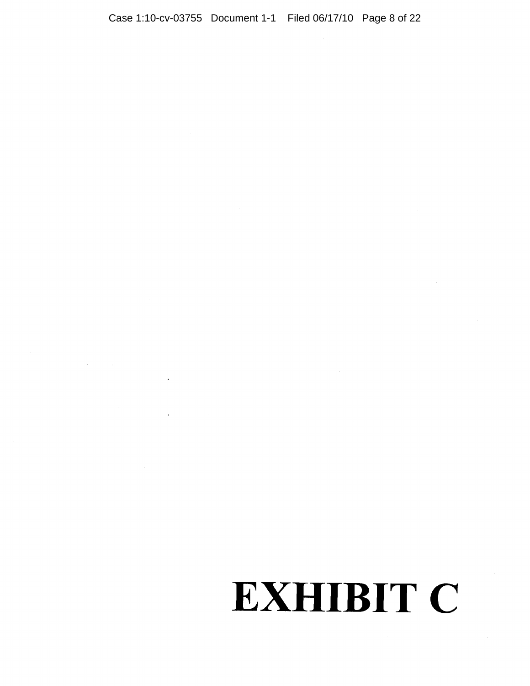# EXHIBIT C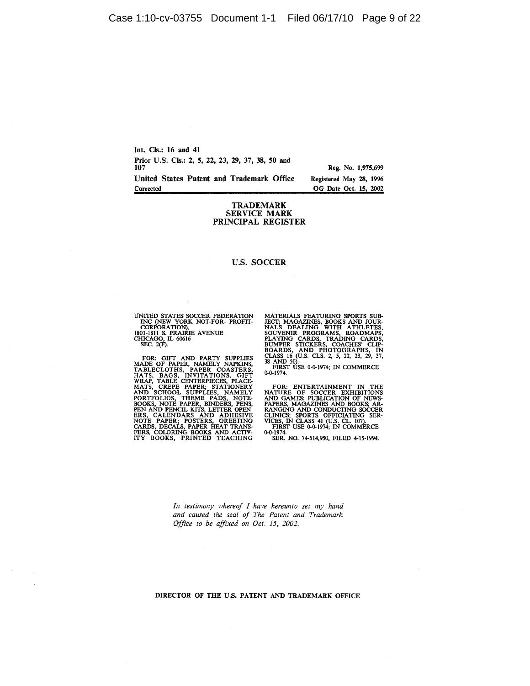Int. Cls.: 16 and 41 Prior U.S. Cls.: 2, 5, 22, 23, 29, 37, 38, 50 and Reg. No. 1,975,699 107 United States Patent and Trademark Office Registered May 28, 1996 OG Date Oct. 15, 2002 Corrected

> **TRADEMARK SERVICE MARK** PRINCIPAL REGISTER

#### **U.S. SOCCER**

# UNITED STATES SOCCER FEDERATION<br>INC (NEW YORK NOT-FOR- PROFIT-<br>CORPORATION),<br>ISO1-ISI1 S. PRAIRIE AVENUE<br>CHICAGO, IL 60616<br>SEC. 2(F).

FOR: GIFT AND PARTY SUPPLIES<br>MADE OF PAPER, NAMELY NAPKINS,<br>TABLECLOTHS, PAPER COASTERS,<br>HATS, BAGS, INVITATIONS, GIFT<br>WRAP, TABLE CENTERPIECES, PLACE<br>MATS, CREPE PAPER; STATIONERY<br>AND SCHOOL SUPPLIES, NAMELY<br>PORTFOLIOS, T

 $\sim$ 

MATERIALS FEATURING SPORTS SUB-<br>JECT; MAGAZINES, BOOKS AND JOUR-<br>NALS DEALING WITH ATHLETES,<br>SOUVENIR PROGRAMS, ROADMAPS,<br>PLAYING CARDS, TRADING CARDS,<br>BUMPER STICKERS, COACHES' CLIP-<br>BOARDS, AND PHOTOGRAPHS, IN<br>38 AND 50)

FOR: ENTERTAINMENT IN THE NATURE OF SOCCER EXHIBITIONS<br>AND GAMES, PUBLICATION OF NEwS-<br>PAPERS, MAGAZINES AND BOOKS; ARRANGING AND CONDUCTING SOCCER<br>CLINICS; SPORTS OFFICIATING SERVICES, IN CLASS 41 (U.S. CL. 107).<br>FIRST US

0-0-1974.<br>SER. NO. 74-514,950, FILED 4-15-1994.

In testimony whereof I have hereunto set my hand and caused the seal of The Patent and Trademark Office to be affixed on Oct. 15, 2002.

#### DIRECTOR OF THE U.S. PATENT AND TRADEMARK OFFICE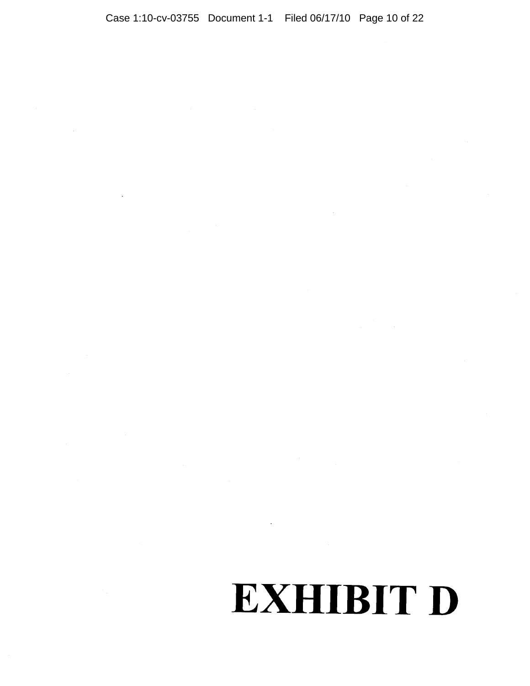# **EXHIBIT D**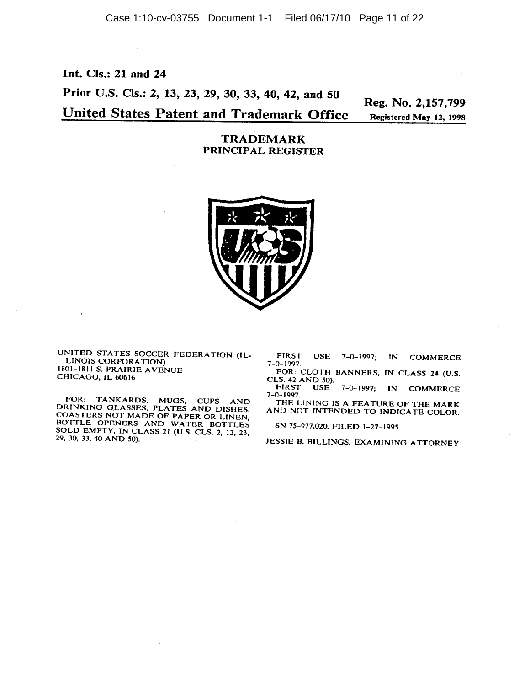Int. Cls.: 21 and 24 Prior U.S. Cls.: 2, 13, 23, 29, 30, 33, 40, 42, and 50 Reg. No. 2,157,799 **United States Patent and Trademark Office** Registered May 12, 1998

# **TRADEMARK** PRINCIPAL REGISTER



UNITED STATES SOCCER FEDERATION (IL-LINOIS CORPORATION) 1801-1811 S. PRAIRIE AVENUE CHICAGO, IL 60616

FOR: TANKARDS, MUGS, CUPS AND<br>DRINKING GLASSES, PLATES AND DISHES, COASTERS NOT MADE OF PAPER OR LINEN, BOTTLE OPENERS AND WATER BOTTLES SOLD EMPTY, IN CLASS 21 (U.S. CLS. 2, 13, 23, 29, 30, 33, 40 AND 50).

**FIRST** USE 7-0-1997; IN COMMERCE  $7 - 0 - 1997.$ 

FOR: CLOTH BANNERS, IN CLASS 24 (U.S. CLS. 42 AND 50).

**FIRST**  $USE 7-0-1997;$ IN COMMERCE  $7 - 0 - 1997.$ 

THE LINING IS A FEATURE OF THE MARK AND NOT INTENDED TO INDICATE COLOR.

SN 75-977,020, FILED 1-27-1995.

JESSIE B. BILLINGS, EXAMINING ATTORNEY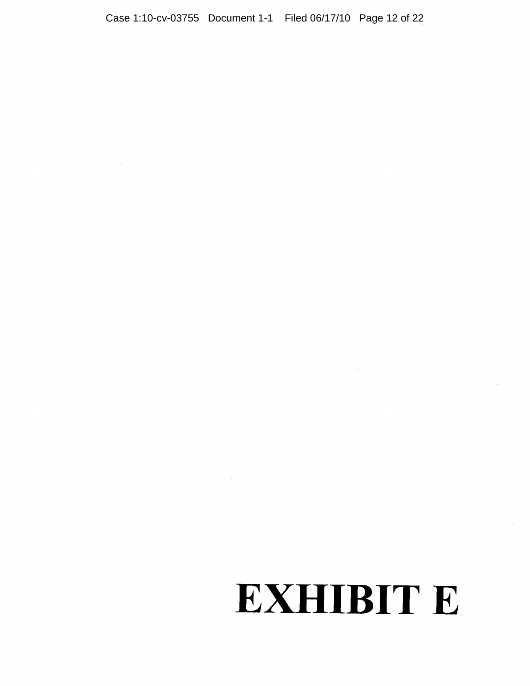# **EXHIBIT E**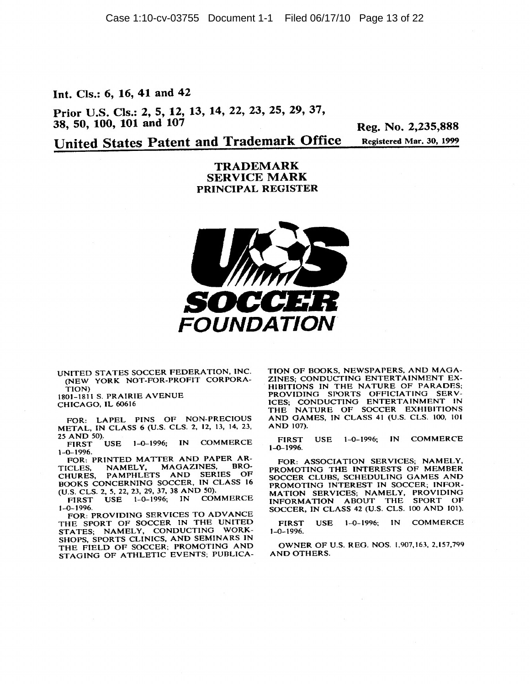Int. Cls.: 6, 16, 41 and 42

Prior U.S. Cls.: 2, 5, 12, 13, 14, 22, 23, 25, 29, 37, 38, 50, 100, 101 and 107

Reg. No. 2,235,888 Registered Mar. 30, 1999

**United States Patent and Trademark Office** 

**TRADEMARK SERVICE MARK** PRINCIPAL REGISTER



UNITED STATES SOCCER FEDERATION, INC. (NEW YORK NOT-FOR-PROFIT CORPORA-TION)

1801-1811 S. PRAIRIE AVENUE CHICAGO, IL 60616

FOR: LAPEL PINS OF NON-PRECIOUS METAL, IN CLASS 6 (U.S. CLS. 2, 12, 13, 14, 23, 25 AND 50).

USE 1-0-1996; IN COMMERCE **FIRST**  $1 - 0 - 1996.$ 

FOR: PRINTED MATTER AND PAPER AR-NAMELY, MAGAZINES, BRO-TICLES, PAMPHLETS AND SERIES OF CHURES, BOOKS CONCERNING SOCCER, IN CLASS 16 (U.S. CLS. 2, 5, 22, 23, 29, 37, 38 AND 50).

IN COMMERCE USE 1-0-1996; **FIRST**  $1 - 0 - 1996.$ 

FOR: PROVIDING SERVICES TO ADVANCE THE SPORT OF SOCCER IN THE UNITED STATES; NAMELY, CONDUCTING WORK-SHOPS, SPORTS CLINICS, AND SEMINARS IN THE FIELD OF SOCCER; PROMOTING AND STAGING OF ATHLETIC EVENTS; PUBLICA- TION OF BOOKS, NEWSPAPERS, AND MAGA-ZINES; CONDUCTING ENTERTAINMENT EX-HIBITIONS IN THE NATURE OF PARADES; PROVIDING SPORTS OFFICIATING SERVICES; CONDUCTING ENTERTAINMENT IN THE NATURE OF SOCCER EXHIBITIONS AND GAMES, IN CLASS 41 (U.S. CLS. 100, 101 AND 107).

IN COMMERCE USE 1-0-1996; **FIRST**  $1 - 0 - 1996.$ 

FOR: ASSOCIATION SERVICES; NAMELY, PROMOTING THE INTERESTS OF MEMBER SOCCER CLUBS, SCHEDULING GAMES AND PROMOTING INTEREST IN SOCCER; INFOR-MATION SERVICES; NAMELY, PROVIDING INFORMATION ABOUT THE SPORT OF SOCCER, IN CLASS 42 (U.S. CLS. 100 AND 101).

USE 1-0-1996; IN COMMERCE **FIRST**  $1 - 0 - 1996.$ 

OWNER OF U.S. REG. NOS. 1,907,163, 2,157,799 AND OTHERS.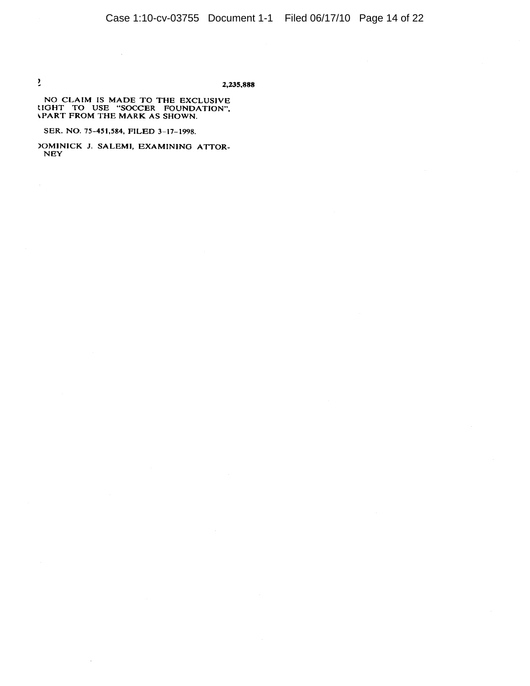2,235,888

NO CLAIM IS MADE TO THE EXCLUSIVE<br>UGHT TO USE "SOCCER FOUNDATION",<br>VPART FROM THE MARK AS SHOWN.

SER. NO. 75-451,584, FILED 3-17-1998.

 $\hat{\mathcal{A}}$ 

JOMINICK J. SALEMI, EXAMINING ATTOR-**NEY** 

 $\overline{\mathbf{y}}$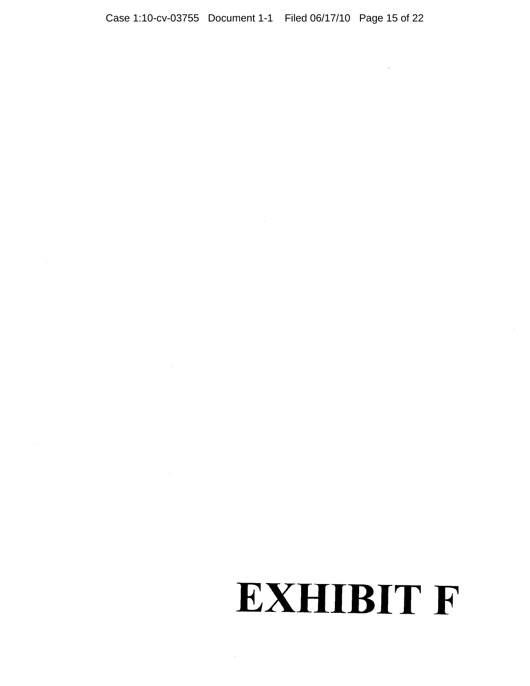# **EXHIBIT F**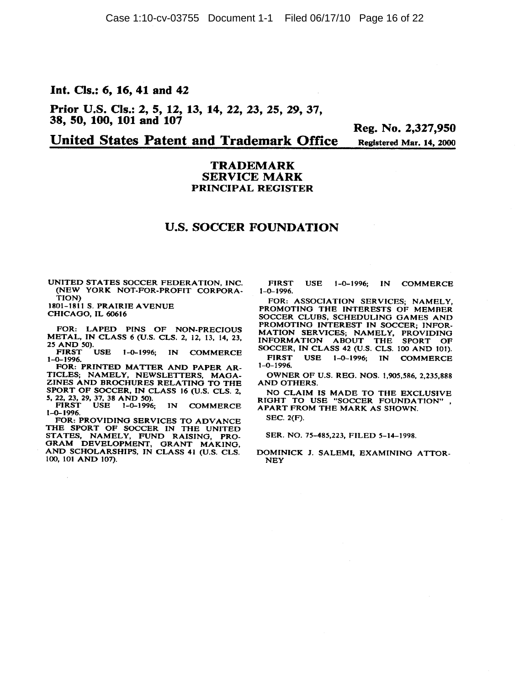Int. Cls.: 6, 16, 41 and 42

Prior U.S. Cls.: 2, 5, 12, 13, 14, 22, 23, 25, 29, 37, 38, 50, 100, 101 and 107

Reg. No. 2,327,950

#### **United States Patent and Trademark Office** Registered Mar. 14, 2000

# TRADEMARK **SERVICE MARK PRINCIPAL REGISTER**

### **U.S. SOCCER FOUNDATION**

UNITED STATES SOCCER FEDERATION, INC. (NEW YORK NOT-FOR-PROFIT CORPORA-TION

1801-1811 S. PRAIRIE AVENUE CHICAGO, IL 60616

FOR: LAPED PINS OF NON-PRECIOUS METAL, IN CLASS 6 (U.S. CLS. 2, 12, 13, 14, 23, 25 AND 50).

**FIRST** USE 1-0-1996; IN COMMERCE  $1 - 0 - 1996.$ 

FOR: PRINTED MATTER AND PAPER AR-TICLES; NAMELY, NEWSLETTERS, MAGA-ZINES AND BROCHURES RELATING TO THE SPORT OF SOCCER, IN CLASS 16 (U.S. CLS. 2,

5, 22, 23, 29, 37, 38 AND 50).<br>FIRST USE 1-0-1996; IN COMMERCE  $1 - 0 - 1996$ 

FOR: PROVIDING SERVICES TO ADVANCE THE SPORT OF SOCCER IN THE UNITED STATES, NAMELY, FUND RAISING, PRO-GRAM DEVELOPMENT, GRANT MAKING, AND SCHOLARSHIPS, IN CLASS 41 (U.S. CLS. 100, 101 AND 107).

**FIRST USE**  $1 - 0 - 1996$ IN **COMMERCE**  $1 - 0 - 1996.$ 

FOR: ASSOCIATION SERVICES; NAMELY, PROMOTING THE INTERESTS OF MEMBER SOCCER CLUBS, SCHEDULING GAMES AND PROMOTING INTEREST IN SOCCER; INFOR-MATION SERVICES; NAMELY, PROVIDING INFORMATION ABOUT THE SPORT OF SOCCER, IN CLASS 42 (U.S. CLS. 100 AND 101).

**FIRST** USE 1-0-1996; IN COMMERCE  $1 - 0 - 1996.$ 

OWNER OF U.S. REG. NOS. 1,905,586, 2,235,888 AND OTHERS.

NO CLAIM IS MADE TO THE EXCLUSIVE RIGHT TO USE "SOCCER FOUNDATION", APART FROM THE MARK AS SHOWN. SEC. 2(F).

SER. NO. 75-485,223, FILED 5-14-1998.

DOMINICK J. SALEMI, EXAMINING ATTOR-**NEY**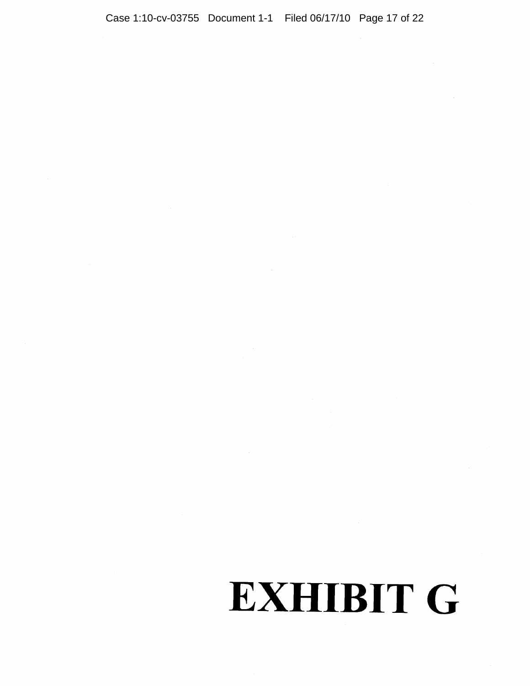# **EXHIBIT G**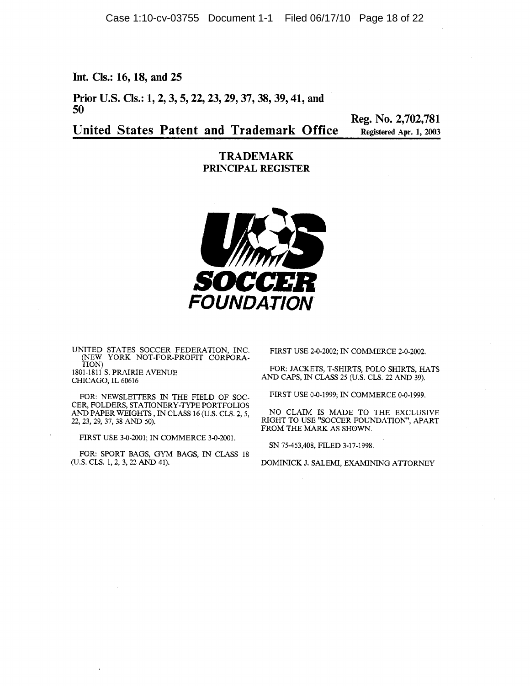Int. Cls.: 16, 18, and 25

Prior U.S. Cls.: 1, 2, 3, 5, 22, 23, 29, 37, 38, 39, 41, and 50

United States Patent and Trademark Office

Reg. No. 2,702,781 Registered Apr. 1, 2003

**TRADEMARK** PRINCIPAL REGISTER



UNITED STATES SOCCER FEDERATION, INC. (NEW YORK NOT-FOR-PROFIT CORPORA-TION) 1801-1811 S. PRAIRIE AVENUE CHICAGO, IL 60616

FOR: NEWSLETTERS IN THE FIELD OF SOC-CER, FOLDERS, STATIONERY-TYPE PORTFOLIOS AND PAPER WEIGHTS, IN CLASS 16 (U.S. CLS. 2, 5, 22, 23, 29, 37, 38 AND 50).

FIRST USE 3-0-2001; IN COMMERCE 3-0-2001.

FOR: SPORT BAGS, GYM BAGS, IN CLASS 18 (U.S. CLS. 1, 2, 3, 22 AND 41).

FIRST USE 2-0-2002; IN COMMERCE 2-0-2002.

FOR: JACKETS, T-SHIRTS, POLO SHIRTS, HATS AND CAPS, IN CLASS 25 (U.S. CLS. 22 AND 39).

FIRST USE 0-0-1999; IN COMMERCE 0-0-1999.

NO CLAIM IS MADE TO THE EXCLUSIVE RIGHT TO USE "SOCCER FOUNDATION", APART FROM THE MARK AS SHOWN.

SN 75-453,408, FILED 3-17-1998.

DOMINICK J. SALEMI, EXAMINING ATTORNEY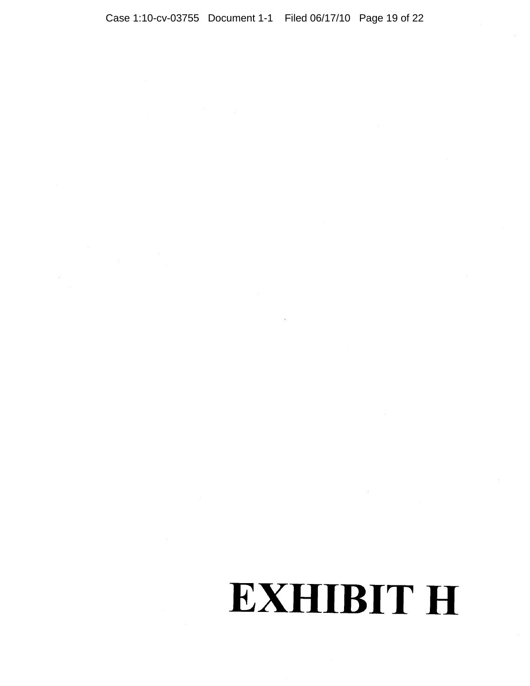# **EXHIBIT H**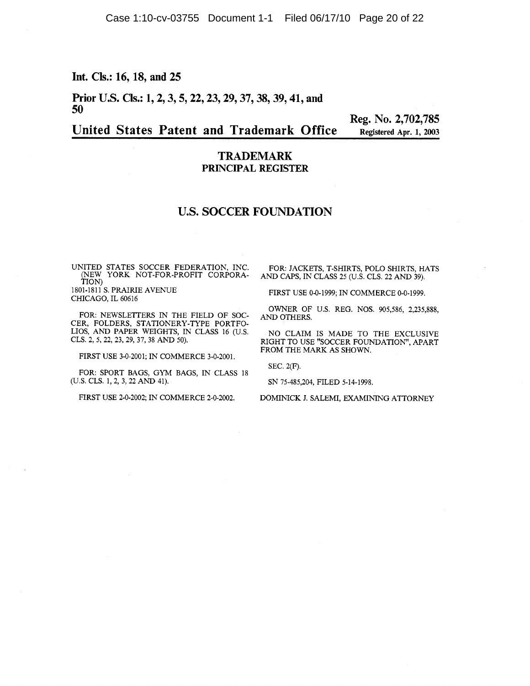Int. Cls.: 16, 18, and 25

Prior U.S. Cls.: 1, 2, 3, 5, 22, 23, 29, 37, 38, 39, 41, and 50

Reg. No. 2,702,785 Registered Apr. 1, 2003

# United States Patent and Trademark Office

### **TRADEMARK PRINCIPAL REGISTER**

# **U.S. SOCCER FOUNDATION**

UNITED STATES SOCCER FEDERATION, INC. (NEW YORK NOT-FOR-PROFIT CORPORA-TION) 1801-1811 S. PRAIRIE AVENUE CHICAGO, IL 60616

FOR: NEWSLETTERS IN THE FIELD OF SOC-CER, FOLDERS, STATIONERY-TYPE PORTFO-LIOS, AND PAPER WEIGHTS, IN CLASS 16 (U.S. CLS. 2, 5, 22, 23, 29, 37, 38 AND 50).

FIRST USE 3-0-2001; IN COMMERCE 3-0-2001.

FOR: SPORT BAGS, GYM BAGS, IN CLASS 18 (U.S. CLS. 1, 2, 3, 22 AND 41).

FIRST USE 2-0-2002; IN COMMERCE 2-0-2002.

FOR: JACKETS, T-SHIRTS, POLO SHIRTS, HATS AND CAPS, IN CLASS 25 (U.S. CLS. 22 AND 39).

FIRST USE 0-0-1999; IN COMMERCE 0-0-1999.

OWNER OF U.S. REG. NOS. 905,586, 2,235,888, AND OTHERS.

NO CLAIM IS MADE TO THE EXCLUSIVE RIGHT TO USE "SOCCER FOUNDATION", APART FROM THE MARK AS SHOWN.

SEC.  $2(F)$ .

SN 75-485,204, FILED 5-14-1998.

DOMINICK J. SALEMI, EXAMINING ATTORNEY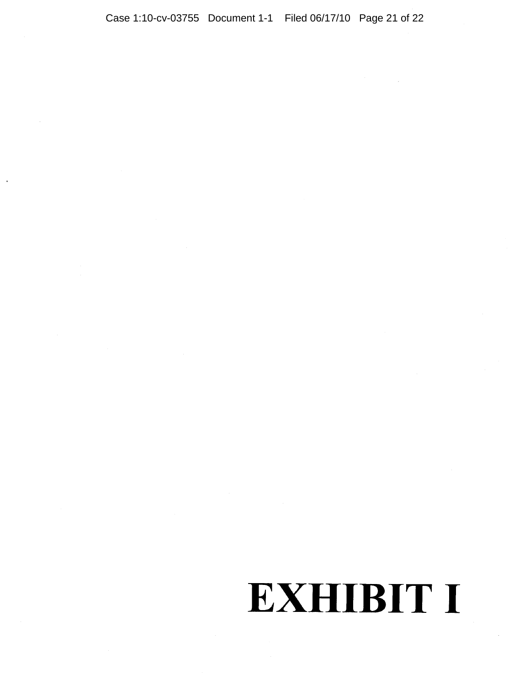# EXHIBIT I